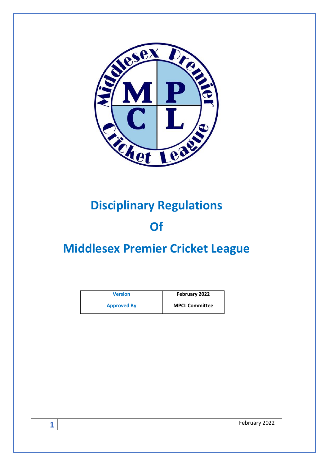

# **Disciplinary Regulations**

# **Of**

# **Middlesex Premier Cricket League**

| <b>Version</b>     | February 2022         |
|--------------------|-----------------------|
| <b>Approved By</b> | <b>MPCL Committee</b> |

February 2022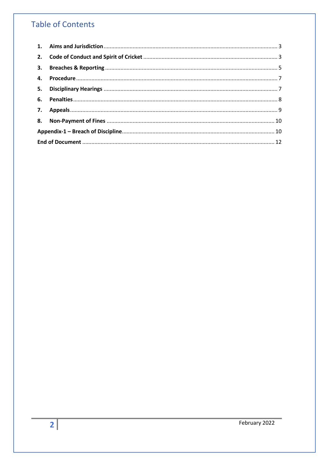# **Table of Contents**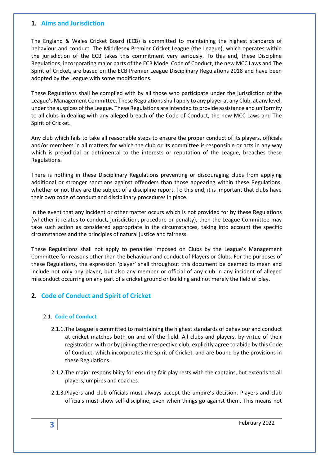#### <span id="page-2-0"></span>**1. Aims and Jurisdiction**

The England & Wales Cricket Board (ECB) is committed to maintaining the highest standards of behaviour and conduct. The Middlesex Premier Cricket League (the League), which operates within the jurisdiction of the ECB takes this commitment very seriously. To this end, these Discipline Regulations, incorporating major parts of the ECB Model Code of Conduct, the new MCC Laws and The Spirit of Cricket, are based on the ECB Premier League Disciplinary Regulations 2018 and have been adopted by the League with some modifications.

These Regulations shall be complied with by all those who participate under the jurisdiction of the League's Management Committee. These Regulations shall apply to any player at any Club, at any level, under the auspices of the League. These Regulations are intended to provide assistance and uniformity to all clubs in dealing with any alleged breach of the Code of Conduct, the new MCC Laws and The Spirit of Cricket.

Any club which fails to take all reasonable steps to ensure the proper conduct of its players, officials and/or members in all matters for which the club or its committee is responsible or acts in any way which is prejudicial or detrimental to the interests or reputation of the League, breaches these Regulations.

There is nothing in these Disciplinary Regulations preventing or discouraging clubs from applying additional or stronger sanctions against offenders than those appearing within these Regulations, whether or not they are the subject of a discipline report. To this end, it is important that clubs have their own code of conduct and disciplinary procedures in place.

In the event that any incident or other matter occurs which is not provided for by these Regulations (whether it relates to conduct, jurisdiction, procedure or penalty), then the League Committee may take such action as considered appropriate in the circumstances, taking into account the specific circumstances and the principles of natural justice and fairness.

These Regulations shall not apply to penalties imposed on Clubs by the League's Management Committee for reasons other than the behaviour and conduct of Players or Clubs. For the purposes of these Regulations, the expression 'player' shall throughout this document be deemed to mean and include not only any player, but also any member or official of any club in any incident of alleged misconduct occurring on any part of a cricket ground or building and not merely the field of play.

# <span id="page-2-1"></span>**2. Code of Conduct and Spirit of Cricket**

#### 2.1. **Code of Conduct**

- 2.1.1.The League is committed to maintaining the highest standards of behaviour and conduct at cricket matches both on and off the field. All clubs and players, by virtue of their registration with or by joining their respective club, explicitly agree to abide by this Code of Conduct, which incorporates the Spirit of Cricket, and are bound by the provisions in these Regulations.
- 2.1.2.The major responsibility for ensuring fair play rests with the captains, but extends to all players, umpires and coaches.
- 2.1.3.Players and club officials must always accept the umpire's decision. Players and club officials must show self-discipline, even when things go against them. This means not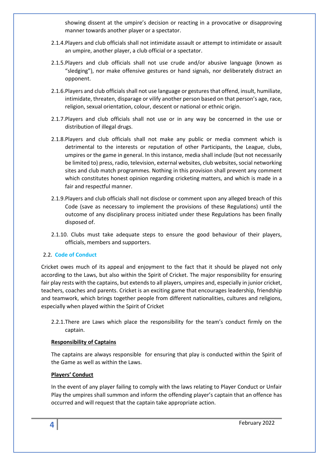showing dissent at the umpire's decision or reacting in a provocative or disapproving manner towards another player or a spectator.

- 2.1.4.Players and club officials shall not intimidate assault or attempt to intimidate or assault an umpire, another player, a club official or a spectator.
- 2.1.5.Players and club officials shall not use crude and/or abusive language (known as "sledging"), nor make offensive gestures or hand signals, nor deliberately distract an opponent.
- 2.1.6.Players and club officials shall not use language or gestures that offend, insult, humiliate, intimidate, threaten, disparage or vilify another person based on that person's age, race, religion, sexual orientation, colour, descent or national or ethnic origin.
- 2.1.7.Players and club officials shall not use or in any way be concerned in the use or distribution of illegal drugs.
- 2.1.8.Players and club officials shall not make any public or media comment which is detrimental to the interests or reputation of other Participants, the League, clubs, umpires or the game in general. In this instance, media shall include (but not necessarily be limited to) press, radio, television, external websites, club websites, social networking sites and club match programmes. Nothing in this provision shall prevent any comment which constitutes honest opinion regarding cricketing matters, and which is made in a fair and respectful manner.
- 2.1.9.Players and club officials shall not disclose or comment upon any alleged breach of this Code (save as necessary to implement the provisions of these Regulations) until the outcome of any disciplinary process initiated under these Regulations has been finally disposed of.
- 2.1.10. Clubs must take adequate steps to ensure the good behaviour of their players, officials, members and supporters.

#### 2.2. **Code of Conduct**

Cricket owes much of its appeal and enjoyment to the fact that it should be played not only according to the Laws, but also within the Spirit of Cricket. The major responsibility for ensuring fair play rests with the captains, but extends to all players, umpires and, especially in junior cricket, teachers, coaches and parents. Cricket is an exciting game that encourages leadership, friendship and teamwork, which brings together people from different nationalities, cultures and religions, especially when played within the Spirit of Cricket

2.2.1.There are Laws which place the responsibility for the team's conduct firmly on the captain.

#### **Responsibility of Captains**

The captains are always responsible for ensuring that play is conducted within the Spirit of the Game as well as within the Laws.

#### **Players' Conduct**

In the event of any player failing to comply with the laws relating to Player Conduct or Unfair Play the umpires shall summon and inform the offending player's captain that an offence has occurred and will request that the captain take appropriate action.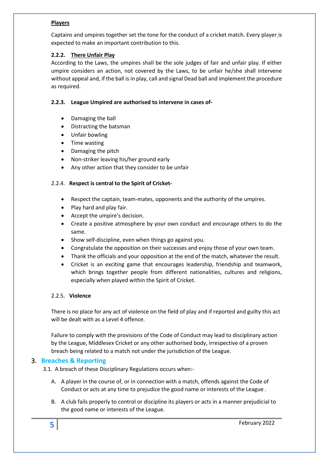#### **Players**

Captains and umpires together set the tone for the conduct of a cricket match. Every player is expected to make an important contribution to this.

#### **2.2.2. There Unfair Play**

According to the Laws, the umpires shall be the sole judges of fair and unfair play. If either umpire considers an action, not covered by the Laws, to be unfair he/she shall intervene without appeal and, if the ball is in play, call and signal Dead ball and implement the procedure as required.

#### **2.2.3. League Umpired are authorised to intervene in cases of-**

- Damaging the ball
- Distracting the batsman
- Unfair bowling
- Time wasting
- Damaging the pitch
- Non-striker leaving his/her ground early
- Any other action that they consider to be unfair

#### 2.2.4. **Respect is central to the Spirit of Cricket-**

- Respect the captain, team-mates, opponents and the authority of the umpires.
- Play hard and play fair.
- Accept the umpire's decision.
- Create a positive atmosphere by your own conduct and encourage others to do the same.
- Show self-discipline, even when things go against you.
- Congratulate the opposition on their successes and enjoy those of your own team.
- Thank the officials and your opposition at the end of the match, whatever the result.
- Cricket is an exciting game that encourages leadership, friendship and teamwork, which brings together people from different nationalities, cultures and religions, especially when played within the Spirit of Cricket.

#### 2.2.5. **Violence**

There is no place for any act of violence on the field of play and if reported and guilty this act will be dealt with as a Level 4 offence.

Failure to comply with the provisions of the Code of Conduct may lead to disciplinary action by the League, Middlesex Cricket or any other authorised body, irrespective of a proven breach being related to a match not under the jurisdiction of the League.

# <span id="page-4-0"></span>3. **Breaches & Reporting**

3.1. A breach of these Disciplinary Regulations occurs when:-

- A. A player in the course of, or in connection with a match, offends against the Code of Conduct or acts at any time to prejudice the good name or interests of the League .
- B. A club fails properly to control or discipline its players or acts in a manner prejudicial to the good name or interests of the League.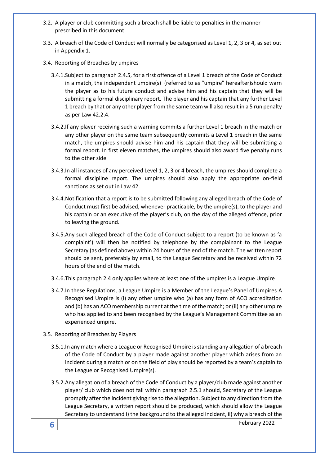- 3.2. A player or club committing such a breach shall be liable to penalties in the manner prescribed in this document.
- 3.3. A breach of the Code of Conduct will normally be categorised as Level 1, 2, 3 or 4, as set out in Appendix 1.
- 3.4. Reporting of Breaches by umpires
	- 3.4.1.Subject to paragraph 2.4.5, for a first offence of a Level 1 breach of the Code of Conduct in a match, the independent umpire(s) (referred to as "umpire" hereafter)should warn the player as to his future conduct and advise him and his captain that they will be submitting a formal disciplinary report. The player and his captain that any further Level 1 breach by that or any other player from the same team will also result in a 5 run penalty as per Law 42.2.4.
	- 3.4.2.If any player receiving such a warning commits a further Level 1 breach in the match or any other player on the same team subsequently commits a Level 1 breach in the same match, the umpires should advise him and his captain that they will be submitting a formal report. In first eleven matches, the umpires should also award five penalty runs to the other side
	- 3.4.3.In all instances of any perceived Level 1, 2, 3 or 4 breach, the umpires should complete a formal discipline report. The umpires should also apply the appropriate on-field sanctions as set out in Law 42.
	- 3.4.4.Notification that a report is to be submitted following any alleged breach of the Code of Conduct must first be advised, whenever practicable, by the umpire(s), to the player and his captain or an executive of the player's club, on the day of the alleged offence, prior to leaving the ground.
	- 3.4.5.Any such alleged breach of the Code of Conduct subject to a report (to be known as 'a complaint') will then be notified by telephone by the complainant to the League Secretary (as defined above) within 24 hours of the end of the match. The written report should be sent, preferably by email, to the League Secretary and be received within 72 hours of the end of the match.
	- 3.4.6.This paragraph 2.4 only applies where at least one of the umpires is a League Umpire
	- 3.4.7.In these Regulations, a League Umpire is a Member of the League's Panel of Umpires A Recognised Umpire is (i) any other umpire who (a) has any form of ACO accreditation and (b) has an ACO membership current at the time of the match; or (ii) any other umpire who has applied to and been recognised by the League's Management Committee as an experienced umpire.

#### 3.5. Reporting of Breaches by Players

- 3.5.1.In any match where a League or Recognised Umpire is standing any allegation of a breach of the Code of Conduct by a player made against another player which arises from an incident during a match or on the field of play should be reported by a team's captain to the League or Recognised Umpire(s).
- 3.5.2.Any allegation of a breach of the Code of Conduct by a player/club made against another player/ club which does not fall within paragraph 2.5.1 should, Secretary of the League promptly after the incident giving rise to the allegation. Subject to any direction from the League Secretary, a written report should be produced, which should allow the League Secretary to understand i) the background to the alleged incident, ii) why a breach of the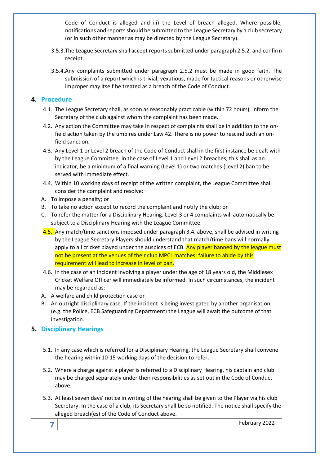Code of Conduct is alleged and iii) the Level of breach alleged. Where possible, notifications and reports should be submitted to the League Secretary by a club secretary (or in such other manner as may be directed by the League Secretary).

- 3.5.3.The League Secretary shall accept reports submitted under paragraph 2.5.2. and confirm receipt
- 3.5.4.Any complaints submitted under paragraph 2.5.2 must be made in good faith. The submission of a report which is trivial, vexatious, made for tactical reasons or otherwise improper may itself be treated as a breach of the Code of Conduct.

#### <span id="page-6-0"></span>**4. Procedure**

- 4.1. The League Secretary shall, as soon as reasonably practicable (within 72 hours), inform the Secretary of the club against whom the complaint has been made.
- 4.2. Any action the Committee may take in respect of complaints shall be in addition to the onfield action taken by the umpires under Law 42. There is no power to rescind such an onfield sanction.
- 4.3. Any Level 1 or Level 2 breach of the Code of Conduct shall in the first instance be dealt with by the League Committee. In the case of Level 1 and Level 2 breaches, this shall as an indicator, be a minimum of a final warning (Level 1) or two matches (Level 2) ban to be served with immediate effect.
- 4.4. Within 10 working days of receipt of the written complaint, the League Committee shall consider the complaint and resolve:
- A. To impose a penalty; or
- B. To take no action except to record the complaint and notify the club; or
- C. To refer the matter for a Disciplinary Hearing. Level 3 or 4 complaints will automatically be subject to a Disciplinary Hearing with the League Committee.
- 4.5. Any match/time sanctions imposed under paragraph 3.4. above, shall be advised in writing by the League Secretary Players should understand that match/time bans will normally apply to all cricket played under the auspices of ECB. Any player banned by the league must not be present at the venues of their club MPCL matches; failure to abide by this requirement will lead to increase in level of ban.
- 4.6. In the case of an incident involving a player under the age of 18 years old, the Middlesex Cricket Welfare Officer will immediately be informed. In such circumstances, the incident may be regarded as:
- A. A welfare and child protection case or
- B. An outright disciplinary case. If the incident is being investigated by another organisation (e.g. the Police, ECB Safeguarding Department) the League will await the outcome of that investigation.

# <span id="page-6-1"></span>**5. Disciplinary Hearings**

- 5.1. In any case which is referred for a Disciplinary Hearing, the League Secretary shall convene the hearing within 10-15 working days of the decision to refer.
- 5.2. Where a charge against a player is referred to a Disciplinary Hearing, his captain and club may be charged separately under their responsibilities as set out in the Code of Conduct above.
- 5.3. At least seven days' notice in writing of the hearing shall be given to the Player via his club Secretary. In the case of a club, its Secretary shall be so notified. The notice shall specify the alleged breach(es) of the Code of Conduct above.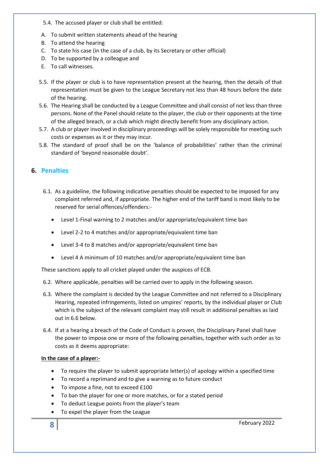5.4. The accused player or club shall be entitled:

- A. To submit written statements ahead of the hearing
- B. To attend the hearing
- C. To state his case (in the case of a club, by its Secretary or other official)
- D. To be supported by a colleague and
- E. To call witnesses.
- 5.5. If the player or club is to have representation present at the hearing, then the details of that representation must be given to the League Secretary not less than 48 hours before the date of the hearing.
- 5.6. The Hearing shall be conducted by a League Committee and shall consist of not less than three persons. None of the Panel should relate to the player, the club or their opponents at the time of the alleged breach, or a club which might directly benefit from any disciplinary action.
- 5.7. A club or player involved in disciplinary proceedings will be solely responsible for meeting such costs or expenses as it or they may incur.
- 5.8. The standard of proof shall be on the 'balance of probabilities' rather than the criminal standard of 'beyond reasonable doubt'.

# <span id="page-7-0"></span>**6. Penalties**

- 6.1. As a guideline, the following indicative penalties should be expected to be imposed for any complaint referred and, if appropriate. The higher end of the tariff band is most likely to be reserved for serial offences/offenders:-
	- Level 1-Final warning to 2 matches and/or appropriate/equivalent time ban
	- Level 2-2 to 4 matches and/or appropriate/equivalent time ban
	- Level 3-4 to 8 matches and/or appropriate/equivalent time ban
	- Level 4 A minimum of 10 matches and/or appropriate/equivalent time ban

These sanctions apply to all cricket played under the auspices of ECB.

- 6.2. Where applicable, penalties will be carried over to apply in the following season.
- 6.3. Where the complaint is decided by the League Committee and not referred to a Disciplinary Hearing, repeated infringements, listed on umpires' reports, by the individual player or Club which is the subject of the relevant complaint may still result in additional penalties as laid out in 6.6 below.
- 6.4. If at a hearing a breach of the Code of Conduct is proven, the Disciplinary Panel shall have the power to impose one or more of the following penalties, together with such order as to costs as it deems appropriate:

#### **In the case of a player:-**

- To require the player to submit appropriate letter(s) of apology within a specified time
- To record a reprimand and to give a warning as to future conduct
- To impose a fine, not to exceed £100
- To ban the player for one or more matches, or for a stated period
- To deduct League points from the player's team
- To expel the player from the League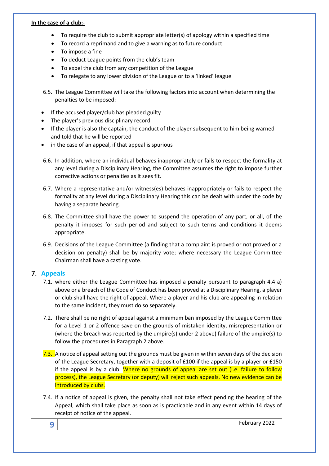#### **In the case of a club:-**

- To require the club to submit appropriate letter(s) of apology within a specified time
- To record a reprimand and to give a warning as to future conduct
- To impose a fine
- To deduct League points from the club's team
- To expel the club from any competition of the League
- To relegate to any lower division of the League or to a 'linked' league
- 6.5. The League Committee will take the following factors into account when determining the penalties to be imposed:
- If the accused player/club has pleaded guilty
- The player's previous disciplinary record
- If the player is also the captain, the conduct of the player subsequent to him being warned and told that he will be reported
- in the case of an appeal, if that appeal is spurious
- 6.6. In addition, where an individual behaves inappropriately or fails to respect the formality at any level during a Disciplinary Hearing, the Committee assumes the right to impose further corrective actions or penalties as it sees fit.
- 6.7. Where a representative and/or witness(es) behaves inappropriately or fails to respect the formality at any level during a Disciplinary Hearing this can be dealt with under the code by having a separate hearing.
- 6.8. The Committee shall have the power to suspend the operation of any part, or all, of the penalty it imposes for such period and subject to such terms and conditions it deems appropriate.
- 6.9. Decisions of the League Committee (a finding that a complaint is proved or not proved or a decision on penalty) shall be by majority vote; where necessary the League Committee Chairman shall have a casting vote.

#### <span id="page-8-0"></span>7. **Appeals**

- 7.1. where either the League Committee has imposed a penalty pursuant to paragraph 4.4 a) above or a breach of the Code of Conduct has been proved at a Disciplinary Hearing, a player or club shall have the right of appeal. Where a player and his club are appealing in relation to the same incident, they must do so separately.
- 7.2. There shall be no right of appeal against a minimum ban imposed by the League Committee for a Level 1 or 2 offence save on the grounds of mistaken identity, misrepresentation or (where the breach was reported by the umpire(s) under 2 above) failure of the umpire(s) to follow the procedures in Paragraph 2 above.
- 7.3. A notice of appeal setting out the grounds must be given in within seven days of the decision of the League Secretary, together with a deposit of £100 if the appeal is by a player or £150 if the appeal is by a club. Where no grounds of appeal are set out (i.e. failure to follow process), the League Secretary (or deputy) will reject such appeals. No new evidence can be introduced by clubs.
- 7.4. If a notice of appeal is given, the penalty shall not take effect pending the hearing of the Appeal, which shall take place as soon as is practicable and in any event within 14 days of receipt of notice of the appeal.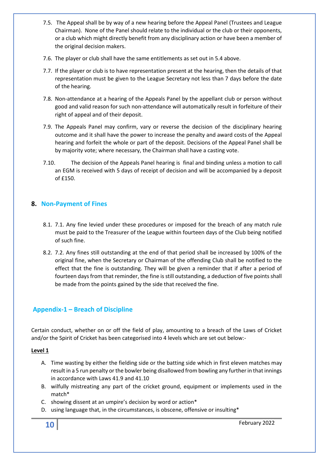- 7.5. The Appeal shall be by way of a new hearing before the Appeal Panel (Trustees and League Chairman). None of the Panel should relate to the individual or the club or their opponents, or a club which might directly benefit from any disciplinary action or have been a member of the original decision makers.
- 7.6. The player or club shall have the same entitlements as set out in 5.4 above.
- 7.7. If the player or club is to have representation present at the hearing, then the details of that representation must be given to the League Secretary not less than 7 days before the date of the hearing.
- 7.8. Non-attendance at a hearing of the Appeals Panel by the appellant club or person without good and valid reason for such non-attendance will automatically result in forfeiture of their right of appeal and of their deposit.
- 7.9. The Appeals Panel may confirm, vary or reverse the decision of the disciplinary hearing outcome and it shall have the power to increase the penalty and award costs of the Appeal hearing and forfeit the whole or part of the deposit. Decisions of the Appeal Panel shall be by majority vote; where necessary, the Chairman shall have a casting vote.
- 7.10. The decision of the Appeals Panel hearing is final and binding unless a motion to call an EGM is received with 5 days of receipt of decision and will be accompanied by a deposit of £150.

# <span id="page-9-0"></span>**8. Non-Payment of Fines**

- 8.1. 7.1. Any fine levied under these procedures or imposed for the breach of any match rule must be paid to the Treasurer of the League within fourteen days of the Club being notified of such fine.
- 8.2. 7.2. Any fines still outstanding at the end of that period shall be increased by 100% of the original fine, when the Secretary or Chairman of the offending Club shall be notified to the effect that the fine is outstanding. They will be given a reminder that if after a period of fourteen days from that reminder, the fine is still outstanding, a deduction of five points shall be made from the points gained by the side that received the fine.

# <span id="page-9-1"></span>**Appendix-1 – Breach of Discipline**

Certain conduct, whether on or off the field of play, amounting to a breach of the Laws of Cricket and/or the Spirit of Cricket has been categorised into 4 levels which are set out below:-

#### **Level 1**

- A. Time wasting by either the fielding side or the batting side which in first eleven matches may result in a 5 run penalty or the bowler being disallowed from bowling any further in that innings in accordance with Laws 41.9 and 41.10
- B. wilfully mistreating any part of the cricket ground, equipment or implements used in the match\*
- C. showing dissent at an umpire's decision by word or action\*
- D. using language that, in the circumstances, is obscene, offensive or insulting\*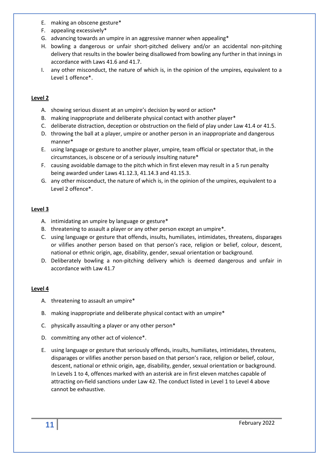- E. making an obscene gesture\*
- F. appealing excessively\*
- G. advancing towards an umpire in an aggressive manner when appealing\*
- H. bowling a dangerous or unfair short-pitched delivery and/or an accidental non-pitching delivery that results in the bowler being disallowed from bowling any further in that innings in accordance with Laws 41.6 and 41.7.
- I. any other misconduct, the nature of which is, in the opinion of the umpires, equivalent to a Level 1 offence\*.

#### **Level 2**

- A. showing serious dissent at an umpire's decision by word or action\*
- B. making inappropriate and deliberate physical contact with another player\*
- C. deliberate distraction, deception or obstruction on the field of play under Law 41.4 or 41.5.
- D. throwing the ball at a player, umpire or another person in an inappropriate and dangerous manner\*
- E. using language or gesture to another player, umpire, team official or spectator that, in the circumstances, is obscene or of a seriously insulting nature\*
- F. causing avoidable damage to the pitch which in first eleven may result in a 5 run penalty being awarded under Laws 41.12.3, 41.14.3 and 41.15.3.
- G. any other misconduct, the nature of which is, in the opinion of the umpires, equivalent to a Level 2 offence\*.

### **Level 3**

- A. intimidating an umpire by language or gesture\*
- B. threatening to assault a player or any other person except an umpire\*.
- C. using language or gesture that offends, insults, humiliates, intimidates, threatens, disparages or vilifies another person based on that person's race, religion or belief, colour, descent, national or ethnic origin, age, disability, gender, sexual orientation or background.
- D. Deliberately bowling a non-pitching delivery which is deemed dangerous and unfair in accordance with Law 41.7

#### **Level 4**

- A. threatening to assault an umpire\*
- B. making inappropriate and deliberate physical contact with an umpire\*
- C. physically assaulting a player or any other person\*
- D. committing any other act of violence\*.
- E. using language or gesture that seriously offends, insults, humiliates, intimidates, threatens, disparages or vilifies another person based on that person's race, religion or belief, colour, descent, national or ethnic origin, age, disability, gender, sexual orientation or background. In Levels 1 to 4, offences marked with an asterisk are in first eleven matches capable of attracting on-field sanctions under Law 42. The conduct listed in Level 1 to Level 4 above cannot be exhaustive.